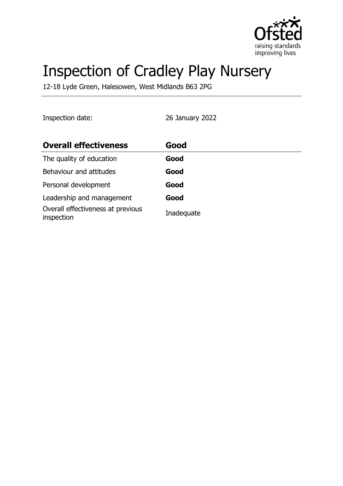

# Inspection of Cradley Play Nursery

12-18 Lyde Green, Halesowen, West Midlands B63 2PG

Inspection date: 26 January 2022

| <b>Overall effectiveness</b>                    | Good       |
|-------------------------------------------------|------------|
| The quality of education                        | Good       |
| Behaviour and attitudes                         | Good       |
| Personal development                            | Good       |
| Leadership and management                       | Good       |
| Overall effectiveness at previous<br>inspection | Inadequate |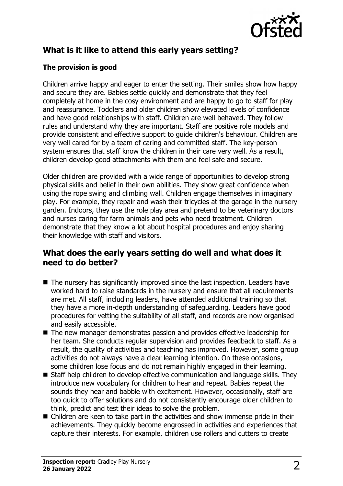

# **What is it like to attend this early years setting?**

#### **The provision is good**

Children arrive happy and eager to enter the setting. Their smiles show how happy and secure they are. Babies settle quickly and demonstrate that they feel completely at home in the cosy environment and are happy to go to staff for play and reassurance. Toddlers and older children show elevated levels of confidence and have good relationships with staff. Children are well behaved. They follow rules and understand why they are important. Staff are positive role models and provide consistent and effective support to guide children's behaviour. Children are very well cared for by a team of caring and committed staff. The key-person system ensures that staff know the children in their care very well. As a result, children develop good attachments with them and feel safe and secure.

Older children are provided with a wide range of opportunities to develop strong physical skills and belief in their own abilities. They show great confidence when using the rope swing and climbing wall. Children engage themselves in imaginary play. For example, they repair and wash their tricycles at the garage in the nursery garden. Indoors, they use the role play area and pretend to be veterinary doctors and nurses caring for farm animals and pets who need treatment. Children demonstrate that they know a lot about hospital procedures and enjoy sharing their knowledge with staff and visitors.

## **What does the early years setting do well and what does it need to do better?**

- $\blacksquare$  The nursery has significantly improved since the last inspection. Leaders have worked hard to raise standards in the nursery and ensure that all requirements are met. All staff, including leaders, have attended additional training so that they have a more in-depth understanding of safeguarding. Leaders have good procedures for vetting the suitability of all staff, and records are now organised and easily accessible.
- $\blacksquare$  The new manager demonstrates passion and provides effective leadership for her team. She conducts regular supervision and provides feedback to staff. As a result, the quality of activities and teaching has improved. However, some group activities do not always have a clear learning intention. On these occasions, some children lose focus and do not remain highly engaged in their learning.
- $\blacksquare$  Staff help children to develop effective communication and language skills. They introduce new vocabulary for children to hear and repeat. Babies repeat the sounds they hear and babble with excitement. However, occasionally, staff are too quick to offer solutions and do not consistently encourage older children to think, predict and test their ideas to solve the problem.
- $\blacksquare$  Children are keen to take part in the activities and show immense pride in their achievements. They quickly become engrossed in activities and experiences that capture their interests. For example, children use rollers and cutters to create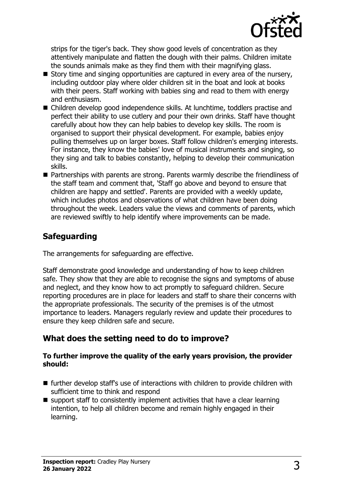

strips for the tiger's back. They show good levels of concentration as they attentively manipulate and flatten the dough with their palms. Children imitate the sounds animals make as they find them with their magnifying glass.

- $\blacksquare$  Story time and singing opportunities are captured in every area of the nursery, including outdoor play where older children sit in the boat and look at books with their peers. Staff working with babies sing and read to them with energy and enthusiasm.
- $\blacksquare$  Children develop good independence skills. At lunchtime, toddlers practise and perfect their ability to use cutlery and pour their own drinks. Staff have thought carefully about how they can help babies to develop key skills. The room is organised to support their physical development. For example, babies enjoy pulling themselves up on larger boxes. Staff follow children's emerging interests. For instance, they know the babies' love of musical instruments and singing, so they sing and talk to babies constantly, helping to develop their communication skills.
- Partnerships with parents are strong. Parents warmly describe the friendliness of the staff team and comment that, 'Staff go above and beyond to ensure that children are happy and settled'. Parents are provided with a weekly update, which includes photos and observations of what children have been doing throughout the week. Leaders value the views and comments of parents, which are reviewed swiftly to help identify where improvements can be made.

# **Safeguarding**

The arrangements for safeguarding are effective.

Staff demonstrate good knowledge and understanding of how to keep children safe. They show that they are able to recognise the signs and symptoms of abuse and neglect, and they know how to act promptly to safeguard children. Secure reporting procedures are in place for leaders and staff to share their concerns with the appropriate professionals. The security of the premises is of the utmost importance to leaders. Managers regularly review and update their procedures to ensure they keep children safe and secure.

# **What does the setting need to do to improve?**

#### **To further improve the quality of the early years provision, the provider should:**

- $\blacksquare$  further develop staff's use of interactions with children to provide children with sufficient time to think and respond
- $\blacksquare$  support staff to consistently implement activities that have a clear learning intention, to help all children become and remain highly engaged in their learning.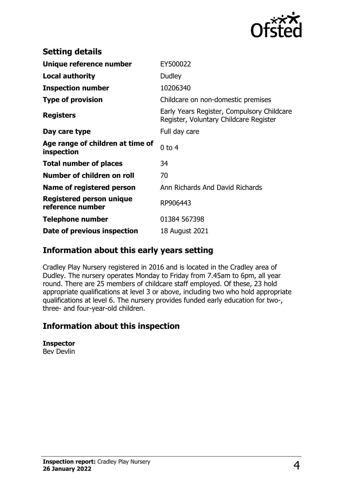

| <b>Setting details</b>                         |                                                                                      |
|------------------------------------------------|--------------------------------------------------------------------------------------|
| Unique reference number                        | EY500022                                                                             |
| <b>Local authority</b>                         | Dudley                                                                               |
| <b>Inspection number</b>                       | 10206340                                                                             |
| <b>Type of provision</b>                       | Childcare on non-domestic premises                                                   |
| <b>Registers</b>                               | Early Years Register, Compulsory Childcare<br>Register, Voluntary Childcare Register |
| Day care type                                  | Full day care                                                                        |
| Age range of children at time of<br>inspection | $0$ to $4$                                                                           |
| <b>Total number of places</b>                  | 34                                                                                   |
| Number of children on roll                     | 70                                                                                   |
| Name of registered person                      | Ann Richards And David Richards                                                      |
| Registered person unique<br>reference number   | RP906443                                                                             |
| Telephone number                               | 01384 567398                                                                         |
| Date of previous inspection                    | 18 August 2021                                                                       |

## **Information about this early years setting**

Cradley Play Nursery registered in 2016 and is located in the Cradley area of Dudley. The nursery operates Monday to Friday from 7.45am to 6pm, all year round. There are 25 members of childcare staff employed. Of these, 23 hold appropriate qualifications at level 3 or above, including two who hold appropriate qualifications at level 6. The nursery provides funded early education for two-, three- and four-year-old children.

### **Information about this inspection**

**Inspector** Bev Devlin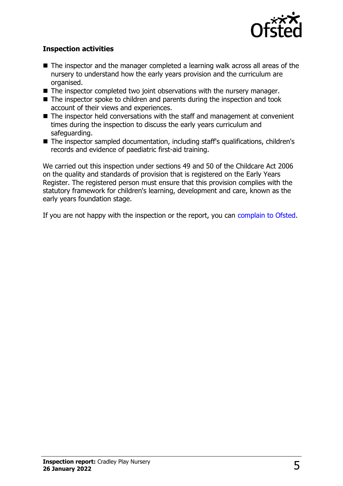

#### **Inspection activities**

- $\blacksquare$  The inspector and the manager completed a learning walk across all areas of the nursery to understand how the early years provision and the curriculum are organised.
- $\blacksquare$  The inspector completed two joint observations with the nursery manager.
- $\blacksquare$  The inspector spoke to children and parents during the inspection and took account of their views and experiences.
- $\blacksquare$  The inspector held conversations with the staff and management at convenient times during the inspection to discuss the early years curriculum and safeguarding.
- $\blacksquare$  The inspector sampled documentation, including staff's qualifications, children's records and evidence of paediatric first-aid training.

We carried out this inspection under sections 49 and 50 of the Childcare Act 2006 on the quality and standards of provision that is registered on the Early Years Register. The registered person must ensure that this provision complies with the statutory framework for children's learning, development and care, known as the early years foundation stage.

If you are not happy with the inspection or the report, you can [complain to Ofsted](http://www.gov.uk/complain-ofsted-report).